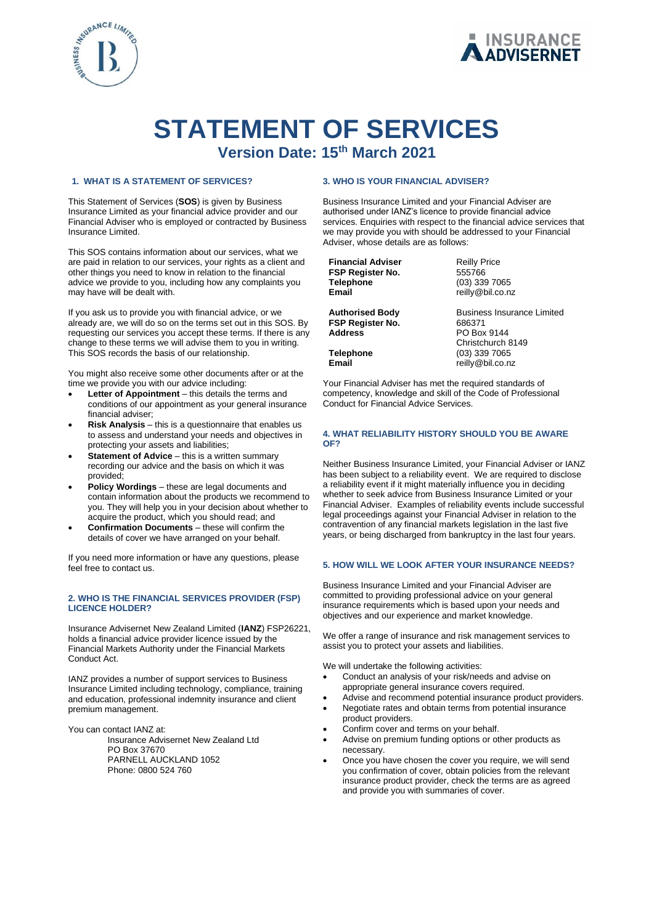



# **STATEMENT OF SERVICES**

**Version Date: 15th March 2021**

# **1. WHAT IS A STATEMENT OF SERVICES?**

This Statement of Services (**SOS**) is given by Business Insurance Limited as your financial advice provider and our Financial Adviser who is employed or contracted by Business Insurance Limited.

This SOS contains information about our services, what we are paid in relation to our services, your rights as a client and other things you need to know in relation to the financial advice we provide to you, including how any complaints you may have will be dealt with.

If you ask us to provide you with financial advice, or we already are, we will do so on the terms set out in this SOS. By requesting our services you accept these terms. If there is any change to these terms we will advise them to you in writing. This SOS records the basis of our relationship.

You might also receive some other documents after or at the time we provide you with our advice including:

- Letter of Appointment this details the terms and conditions of our appointment as your general insurance financial adviser;
- **Risk Analysis** this is a questionnaire that enables us to assess and understand your needs and objectives in protecting your assets and liabilities;
- **Statement of Advice** this is a written summary recording our advice and the basis on which it was provided;
- **Policy Wordings** these are legal documents and contain information about the products we recommend to you. They will help you in your decision about whether to acquire the product, which you should read; and
- **Confirmation Documents** these will confirm the details of cover we have arranged on your behalf.

If you need more information or have any questions, please feel free to contact us.

#### **2. WHO IS THE FINANCIAL SERVICES PROVIDER (FSP) LICENCE HOLDER?**

Insurance Advisernet New Zealand Limited (**IANZ**) FSP26221, holds a financial advice provider licence issued by the Financial Markets Authority under the Financial Markets Conduct Act.

IANZ provides a number of support services to Business Insurance Limited including technology, compliance, training and education, professional indemnity insurance and client premium management.

You can contact IANZ at:

Insurance Advisernet New Zealand Ltd PO Box 37670 PARNELL AUCKLAND 1052 Phone: 0800 524 760

# **3. WHO IS YOUR FINANCIAL ADVISER?**

Business Insurance Limited and your Financial Adviser are authorised under IANZ's licence to provide financial advice services. Enquiries with respect to the financial advice services that we may provide you with should be addressed to your Financial Adviser, whose details are as follows:

**Financial Adviser** Reilly Price<br> **FSP Register No.** 555766 **FSP Register No. Telephone Email** 

**FSP Register No.**<br>Address

(03) 339 7065 reilly@bil.co.nz

**Authorised Body Business Insurance Limited FSP Register No.** 686371 **Address** PO Box 9144 Christchurch 8149 **Telephone** (03) 339 7065<br> **Email** reilly@bil.co.n: **Email** reilly@bil.co.nz

Your Financial Adviser has met the required standards of competency, knowledge and skill of the Code of Professional Conduct for Financial Advice Services.

#### **4. WHAT RELIABILITY HISTORY SHOULD YOU BE AWARE OF?**

Neither Business Insurance Limited, your Financial Adviser or IANZ has been subject to a reliability event. We are required to disclose a reliability event if it might materially influence you in deciding whether to seek advice from Business Insurance Limited or your Financial Adviser. Examples of reliability events include successful legal proceedings against your Financial Adviser in relation to the contravention of any financial markets legislation in the last five years, or being discharged from bankruptcy in the last four years.

# **5. HOW WILL WE LOOK AFTER YOUR INSURANCE NEEDS?**

Business Insurance Limited and your Financial Adviser are committed to providing professional advice on your general insurance requirements which is based upon your needs and objectives and our experience and market knowledge.

We offer a range of insurance and risk management services to assist you to protect your assets and liabilities.

We will undertake the following activities:

- Conduct an analysis of your risk/needs and advise on appropriate general insurance covers required.
- Advise and recommend potential insurance product providers.
- Negotiate rates and obtain terms from potential insurance product providers.
- Confirm cover and terms on your behalf.
- Advise on premium funding options or other products as necessary.
- Once you have chosen the cover you require, we will send you confirmation of cover, obtain policies from the relevant insurance product provider, check the terms are as agreed and provide you with summaries of cover.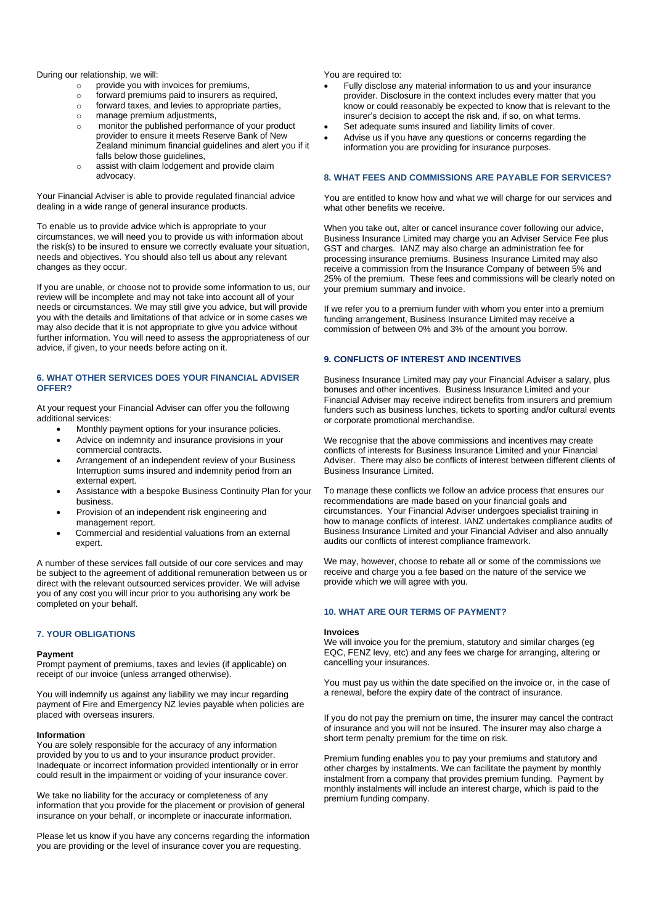#### During our relationship, we will:

- o provide you with invoices for premiums,
- o forward premiums paid to insurers as required,
- $\circ$  forward taxes, and levies to appropriate parties,<br> $\circ$  manage premium adiustments.
- manage premium adjustments,
- o monitor the published performance of your product provider to ensure it meets Reserve Bank of New Zealand minimum financial guidelines and alert you if it falls below those guidelines,
- o assist with claim lodgement and provide claim advocacy.

Your Financial Adviser is able to provide regulated financial advice dealing in a wide range of general insurance products.

To enable us to provide advice which is appropriate to your circumstances, we will need you to provide us with information about the risk(s) to be insured to ensure we correctly evaluate your situation, needs and objectives. You should also tell us about any relevant changes as they occur.

If you are unable, or choose not to provide some information to us, our review will be incomplete and may not take into account all of your needs or circumstances. We may still give you advice, but will provide you with the details and limitations of that advice or in some cases we may also decide that it is not appropriate to give you advice without further information. You will need to assess the appropriateness of our advice, if given, to your needs before acting on it.

# **6. WHAT OTHER SERVICES DOES YOUR FINANCIAL ADVISER OFFER?**

At your request your Financial Adviser can offer you the following additional services:

- Monthly payment options for your insurance policies.
- Advice on indemnity and insurance provisions in your commercial contracts.
- Arrangement of an independent review of your Business Interruption sums insured and indemnity period from an external expert.
- Assistance with a bespoke Business Continuity Plan for your business.
- Provision of an independent risk engineering and management report.
- Commercial and residential valuations from an external expert.

A number of these services fall outside of our core services and may be subject to the agreement of additional remuneration between us or direct with the relevant outsourced services provider. We will advise you of any cost you will incur prior to you authorising any work be completed on your behalf.

#### **7. YOUR OBLIGATIONS**

#### **Payment**

Prompt payment of premiums, taxes and levies (if applicable) on receipt of our invoice (unless arranged otherwise).

You will indemnify us against any liability we may incur regarding payment of Fire and Emergency NZ levies payable when policies are placed with overseas insurers.

#### **Information**

You are solely responsible for the accuracy of any information provided by you to us and to your insurance product provider. Inadequate or incorrect information provided intentionally or in error could result in the impairment or voiding of your insurance cover.

We take no liability for the accuracy or completeness of any information that you provide for the placement or provision of general insurance on your behalf, or incomplete or inaccurate information.

Please let us know if you have any concerns regarding the information you are providing or the level of insurance cover you are requesting.

You are required to:

- Fully disclose any material information to us and your insurance provider. Disclosure in the context includes every matter that you know or could reasonably be expected to know that is relevant to the insurer's decision to accept the risk and, if so, on what terms.
- Set adequate sums insured and liability limits of cover.
- Advise us if you have any questions or concerns regarding the information you are providing for insurance purposes.

# **8. WHAT FEES AND COMMISSIONS ARE PAYABLE FOR SERVICES?**

You are entitled to know how and what we will charge for our services and what other benefits we receive.

When you take out, alter or cancel insurance cover following our advice, Business Insurance Limited may charge you an Adviser Service Fee plus GST and charges. IANZ may also charge an administration fee for processing insurance premiums. Business Insurance Limited may also receive a commission from the Insurance Company of between 5% and 25% of the premium. These fees and commissions will be clearly noted on your premium summary and invoice.

If we refer you to a premium funder with whom you enter into a premium funding arrangement, Business Insurance Limited may receive a commission of between 0% and 3% of the amount you borrow.

# **9. CONFLICTS OF INTEREST AND INCENTIVES**

Business Insurance Limited may pay your Financial Adviser a salary, plus bonuses and other incentives. Business Insurance Limited and your Financial Adviser may receive indirect benefits from insurers and premium funders such as business lunches, tickets to sporting and/or cultural events or corporate promotional merchandise.

We recognise that the above commissions and incentives may create conflicts of interests for Business Insurance Limited and your Financial Adviser. There may also be conflicts of interest between different clients of Business Insurance Limited.

To manage these conflicts we follow an advice process that ensures our recommendations are made based on your financial goals and circumstances. Your Financial Adviser undergoes specialist training in how to manage conflicts of interest. IANZ undertakes compliance audits of Business Insurance Limited and your Financial Adviser and also annually audits our conflicts of interest compliance framework.

We may, however, choose to rebate all or some of the commissions we receive and charge you a fee based on the nature of the service we provide which we will agree with you.

# **10. WHAT ARE OUR TERMS OF PAYMENT?**

## **Invoices**

We will invoice you for the premium, statutory and similar charges (eg EQC, FENZ levy, etc) and any fees we charge for arranging, altering or cancelling your insurances.

You must pay us within the date specified on the invoice or, in the case of a renewal, before the expiry date of the contract of insurance.

If you do not pay the premium on time, the insurer may cancel the contract of insurance and you will not be insured. The insurer may also charge a short term penalty premium for the time on risk.

Premium funding enables you to pay your premiums and statutory and other charges by instalments. We can facilitate the payment by monthly instalment from a company that provides premium funding. Payment by monthly instalments will include an interest charge, which is paid to the premium funding company.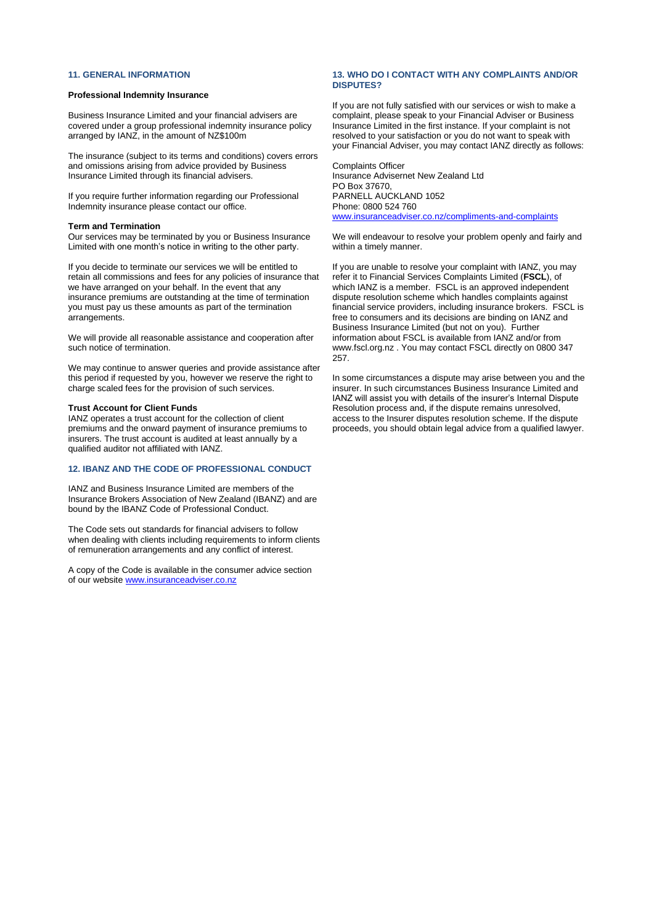#### **11. GENERAL INFORMATION**

#### **Professional Indemnity Insurance**

Business Insurance Limited and your financial advisers are covered under a group professional indemnity insurance policy arranged by IANZ, in the amount of NZ\$100m

The insurance (subject to its terms and conditions) covers errors and omissions arising from advice provided by Business Insurance Limited through its financial advisers.

If you require further information regarding our Professional Indemnity insurance please contact our office.

#### **Term and Termination**

Our services may be terminated by you or Business Insurance Limited with one month's notice in writing to the other party.

If you decide to terminate our services we will be entitled to retain all commissions and fees for any policies of insurance that we have arranged on your behalf. In the event that any insurance premiums are outstanding at the time of termination you must pay us these amounts as part of the termination arrangements.

We will provide all reasonable assistance and cooperation after such notice of termination.

We may continue to answer queries and provide assistance after this period if requested by you, however we reserve the right to charge scaled fees for the provision of such services.

#### **Trust Account for Client Funds**

IANZ operates a trust account for the collection of client premiums and the onward payment of insurance premiums to insurers. The trust account is audited at least annually by a qualified auditor not affiliated with IANZ.

#### **12. IBANZ AND THE CODE OF PROFESSIONAL CONDUCT**

IANZ and Business Insurance Limited are members of the Insurance Brokers Association of New Zealand (IBANZ) and are bound by the IBANZ Code of Professional Conduct.

The Code sets out standards for financial advisers to follow when dealing with clients including requirements to inform clients of remuneration arrangements and any conflict of interest.

A copy of the Code is available in the consumer advice section of our website [www.insuranceadviser.co.nz](http://www.insuranceadviser.co.nz/)

#### **13. WHO DO I CONTACT WITH ANY COMPLAINTS AND/OR DISPUTES?**

If you are not fully satisfied with our services or wish to make a complaint, please speak to your Financial Adviser or Business Insurance Limited in the first instance. If your complaint is not resolved to your satisfaction or you do not want to speak with your Financial Adviser, you may contact IANZ directly as follows:

Complaints Officer Insurance Advisernet New Zealand Ltd PO Box 37670, PARNELL AUCKLAND 1052 Phone: 0800 524 760 [www.insuranceadviser.co.nz/](http://www.insuranceadviser.co.nz/)compliments-and-complaints

We will endeavour to resolve your problem openly and fairly and within a timely manner.

If you are unable to resolve your complaint with IANZ, you may refer it to Financial Services Complaints Limited (**FSCL**), of which IANZ is a member. FSCL is an approved independent dispute resolution scheme which handles complaints against financial service providers, including insurance brokers. FSCL is free to consumers and its decisions are binding on IANZ and Business Insurance Limited (but not on you). Further information about FSCL is available from IANZ and/or from www.fscl.org.nz . You may contact FSCL directly on 0800 347 257.

In some circumstances a dispute may arise between you and the insurer. In such circumstances Business Insurance Limited and IANZ will assist you with details of the insurer's Internal Dispute Resolution process and, if the dispute remains unresolved, access to the Insurer disputes resolution scheme. If the dispute proceeds, you should obtain legal advice from a qualified lawyer.